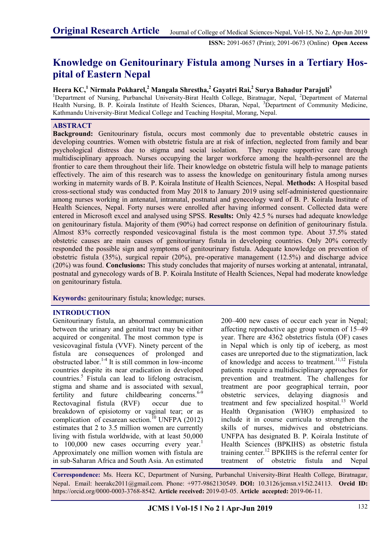**ISSN:** 2091-0657 (Print); 2091-0673 (Online) **Open Access**

# **Knowledge on Genitourinary Fistula among Nurses in a Tertiary Hospital of Eastern Nepal**

# **Heera KC,<sup>1</sup> Nirmala Pokharel,<sup>2</sup> Mangala Shrestha,<sup>2</sup> Gayatri Rai,<sup>2</sup> Surya Bahadur Parajuli<sup>3</sup>**

<sup>1</sup>Department of Nursing, Purbanchal University-Birat Health College, Biratnagar, Nepal, <sup>2</sup>Department of Maternal Health Nursing, B. P. Koirala Institute of Health Sciences, Dharan, Nepal, <sup>3</sup>Department of Community Medicine, Kathmandu University-Birat Medical College and Teaching Hospital, Morang, Nepal.

## **ABSTRACT**

**Background:** Genitourinary fistula, occurs most commonly due to preventable obstetric causes in developing countries. Women with obstetric fistula are at risk of infection, neglected from family and bear psychological distress due to stigma and social isolation. They require supportive care through multidisciplinary approach. Nurses occupying the larger workforce among the health-personnel are the frontier to care them throughout their life. Their knowledge on obstetric fistula will help to manage patients effectively. The aim of this research was to assess the knowledge on genitourinary fistula among nurses working in maternity wards of B. P. Koirala Institute of Health Sciences, Nepal. **Methods:** A Hospital based cross-sectional study was conducted from May 2018 to January 2019 using self-administered questionnaire among nurses working in antenatal, intranatal, postnatal and gynecology ward of B. P. Koirala Institute of Health Sciences, Nepal. Forty nurses were enrolled after having informed consent. Collected data were entered in Microsoft excel and analysed using SPSS. **Results:** Only 42.5 % nurses had adequate knowledge on genitourinary fistula. Majority of them (90%) had correct response on definition of genitourinary fistula. Almost 83% correctly responded vesicovaginal fistula is the most common type. About 37.5% stated obstetric causes are main causes of genitourinary fistula in developing countries. Only 20% correctly responded the possible sign and symptoms of genitourinary fistula. Adequate knowledge on prevention of obstetric fistula (35%), surgical repair (20%), pre-operative management (12.5%) and discharge advice (20%) was found. **Conclusions:** This study concludes that majority of nurses working at antenatal, intranatal, postnatal and gynecology wards of B. P. Koirala Institute of Health Sciences, Nepal had moderate knowledge on genitourinary fistula.

**Keywords:** genitourinary fistula; knowledge; nurses.

#### **INTRODUCTION**

Genitourinary fistula, an abnormal communication between the urinary and genital tract may be either acquired or congenital. The most common type is vesicovaginal fistula (VVF). Ninety percent of the fistula are consequences of prolonged and obstructed labor.[1-4](https://paperpile.com/c/Vo2g7a/u190+UihE) It is still common in low-income countries despite its near eradication in developed countries.<sup>[5](https://paperpile.com/c/Vo2g7a/vzuY)</sup> Fistula can lead to lifelong ostracism, stigma and shame and is associated with sexual, fertility and future childbearing concerns.<sup>[6-9](https://paperpile.com/c/Vo2g7a/lXV5)</sup> Rectovaginal fistula (RVF) occur due to breakdown of episiotomy or vaginal tear; or as complication of cesarean section.<sup>[10](https://paperpile.com/c/Vo2g7a/PQyS)</sup> UNFPA (2012) estimates that 2 to 3.5 million women are currently living with fistula worldwide, with at least 50,000 to  $100,000$  $100,000$  new cases occurring every year.<sup>1</sup> Approximately one million women with fistula are in sub-Saharan Africa and South Asia. An estimated

200–400 new cases of occur each year in Nepal; affecting reproductive age group women of 15–49 year. There are 4362 obstetrics fistula (OF) cases in Nepal which is only tip of iceberg, as most cases are unreported due to the stigmatization, lack of knowledge and access to treatment.<sup>[11,](https://paperpile.com/c/Vo2g7a/qQcP)[12](https://paperpile.com/c/Vo2g7a/EbgF)</sup> Fistula patients require a multidisciplinary approaches for prevention and treatment. The challenges for treatment are poor geographical terrain, poor obstetric services, delaying diagnosis and treatment and few specialized hospital.<sup>[13](https://paperpile.com/c/Vo2g7a/Pgk3)</sup> World Health Organisation (WHO) emphasized to include it in course curricula to strengthen the skills of nurses, midwives and obstetricians. UNFPA has designated B. P. Koirala Institute of Health Sciences (BPKIHS) as obstetric fistula training center.[12](https://paperpile.com/c/Vo2g7a/EbgF) BPKIHS is the referral center for treatment of obstetric fistula and Nepal

**Correspondence:** Ms. Heera KC, Department of Nursing, Purbanchal University-Birat Health College, Biratnagar, Nepal. Email: heerakc2011@gmail.com. Phone: +977-9862130549. **DOI:** 10.3126/jcmsn.v15i2.24113. **Orcid ID:**  https://orcid.org/0000-0003-3768-8542. **Article received:** 2019-03-05. **Article accepted:** 2019-06-11.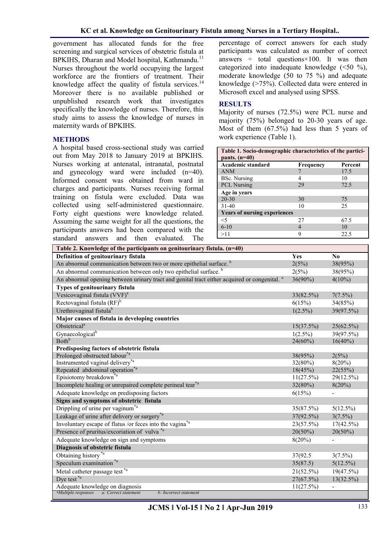government has allocated funds for the free screening and surgical services of obstetric fistula at BPKIHS, Dharan and Model hospital, Kathmandu.<sup>[11](https://paperpile.com/c/Vo2g7a/qQcP)</sup> Nurses throughout the world occupying the largest workforce are the frontiers of treatment. Their knowledge affect the quality of fistula services. $^{14}$  $^{14}$  $^{14}$ Moreover there is no available published or unpublished research work that investigates specifically the knowledge of nurses. Therefore, this study aims to assess the knowledge of nurses in maternity wards of BPKIHS.

## **METHODS**

A hospital based cross-sectional study was carried out from May 2018 to January 2019 at BPKIHS. Nurses working at antenatal, intranatal, postnatal and gynecology ward were included (n=40). Informed consent was obtained from ward in charges and participants. Nurses receiving formal training on fistula were excluded. Data was collected using self-administered questionnaire. Forty eight questions were knowledge related. Assuming the same weight for all the questions, the participants answers had been compared with the standard answers and then evaluated. The

percentage of correct answers for each study participants was calculated as number of correct answers  $\div$  total questions $\times$ 100. It was then categorized into inadequate knowledge  $(\leq 50 \degree\%)$ , moderate knowledge (50 to 75 %) and adequate knowledge (>75%). Collected data were entered in Microsoft excel and analysed using SPSS.

#### **RESULTS**

Majority of nurses (72.5%) were PCL nurse and majority (75%) belonged to 20-30 years of age. Most of them (67.5%) had less than 5 years of work experience (Table 1).

| Table 1. Socio-demographic characteristics of the partici-<br>pants. $(n=40)$ |           |         |
|-------------------------------------------------------------------------------|-----------|---------|
| Academic standard                                                             | Frequency | Percent |
| <b>ANM</b>                                                                    |           | 17.5    |
| <b>BSc.</b> Nursing                                                           |           | 10      |
| <b>PCL Nursing</b>                                                            | 29        | 72.5    |
| Age in years                                                                  |           |         |
| $20 - 30$                                                                     | 30        | 75      |
| $31 - 40$                                                                     | 10        | 25      |
| <b>Years of nursing experiences</b>                                           |           |         |
| $<$ 5                                                                         | 27        | 67.5    |
| $6 - 10$                                                                      | 4         | 10      |
| >11                                                                           | q         | 22.5    |

| Table 2. Knowledge of the participants on genitourinary fistula. (n=40)                                 |            |                          |
|---------------------------------------------------------------------------------------------------------|------------|--------------------------|
| Definition of genitourinary fistula                                                                     | Yes        | $\bf No$                 |
| An abnormal communication between two or more epithelial surface. <sup>b</sup>                          | 2(5%)      | 38(95%)                  |
| An abnormal communication between only two epithelial surface. <sup>b</sup>                             | 2(5%)      | 38(95%)                  |
| An abnormal opening between urinary tract and genital tract either acquired or congenital. <sup>a</sup> | $36(90\%)$ | $4(10\%)$                |
| Types of genitourinary fistula                                                                          |            |                          |
| Vesicovaginal fistula (VVF) <sup>a</sup>                                                                | 33(82.5%)  | 7(7.5%)                  |
| Rectovaginal fistula $(RF)^b$                                                                           | 6(15%)     | 34(85%)                  |
| Urethrovaginal fistula <sup>b</sup>                                                                     | $1(2.5\%)$ | 39(97.5%)                |
| Major causes of fistula in developing countries                                                         |            |                          |
| Obstetrical <sup>a</sup>                                                                                | 15(37.5%)  | 25(62.5%)                |
| Gynaecological <sup>b</sup>                                                                             | $1(2.5\%)$ | 39(97.5%)                |
| Both <sup>b</sup>                                                                                       | $24(60\%)$ | $16(40\%)$               |
| Predisposing factors of obstetric fistula                                                               |            |                          |
| Prolonged obstructed labour <sup>*a</sup>                                                               | 38(95%)    | 2(5%)                    |
| Instrumented vaginal delivery <sup>*a</sup>                                                             | $32(80\%)$ | $8(20\%)$                |
| Repeated abdominal operation <sup>*a</sup>                                                              | 18(45%)    | 22(55%)                  |
| Episiotomy breakdown <sup>*a</sup>                                                                      | 11(27.5%)  | 29(12.5%)                |
| Incomplete healing or unrepaired complete perineal tear*a                                               | 32(80%)    | $8(20\%)$                |
| Adequate knowledge on predisposing factors                                                              | 6(15%)     |                          |
| Signs and symptoms of obstetric fistula                                                                 |            |                          |
| Drippling of urine per vaginum <sup>*a</sup>                                                            | 35(87.5%)  | $5(12.5\%)$              |
| Leakage of urine after delivery or surgery <sup>*a</sup>                                                | 37(92.5%)  | $3(7.5\%)$               |
| Involuntary escape of flatus /or feces into the vagina <sup>*a</sup>                                    | 23(57.5%)  | $17(42.5\%)$             |
| Presence of pruritus/excoriation of vulva <sup>*a</sup>                                                 | $20(50\%)$ | $20(50\%)$               |
| Adequate knowledge on sign and symptoms                                                                 | $8(20\%)$  | $\overline{\phantom{0}}$ |
| Diagnosis of obstetric fistula                                                                          |            |                          |
| Obtaining history <sup>*a</sup>                                                                         | 37(92.5)   | $3(7.5\%)$               |
| Speculum examination <sup>*a</sup>                                                                      | 35(87.5)   | $5(12.5\%)$              |
| Metal catheter passage test <sup>*a</sup>                                                               | 21(52.5%)  | 19(47.5%)                |
| Dye test <sup>*a</sup>                                                                                  | 27(67.5%)  | 13(32.5%)                |
| Adequate knowledge on diagnosis                                                                         | 11(27.5%)  | $\overline{\phantom{a}}$ |
| <i>*Multiple responses</i><br>a: Correct statement<br>b: Incorrect statement                            |            |                          |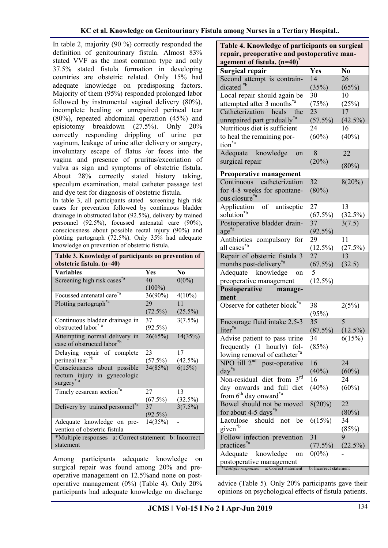In table 2, majority (90 %) correctly responded the definition of genitourinary fistula. Almost 83% stated VVF as the most common type and only 37.5% stated fistula formation in developing countries are obstetric related. Only 15% had adequate knowledge on predisposing factors. Majority of them (95%) responded prolonged labor followed by instrumental vaginal delivery (80%), incomplete healing or unrepaired perineal tear (80%), repeated abdominal operation (45%) and episiotomy breakdown (27.5%). Only 20% correctly responding drippling of urine per vaginum, leakage of urine after delivery or surgery, involuntary escape of flatus /or feces into the vagina and presence of pruritus/excoriation of vulva as sign and symptoms of obstetric fistula. About 28% correctly stated history taking, speculum examination, metal catheter passage test and dye test for diagnosis of obstetric fistula.

In table 3, all participants stated screening high risk cases for prevention followed by continuous bladder drainage in obstructed labor (92.5%), delivery by trained personnel (92.5%), focussed antenatal care (90%), consciousness about possible rectal injury (90%) and plotting partograph (72.5%). Only 35% had adequate knowledge on prevention of obstetric fistula.

| Table 3. Knowledge of participants on prevention of<br>obstetric fistula. (n=40)     |                  |                  |  |
|--------------------------------------------------------------------------------------|------------------|------------------|--|
| <b>Variables</b>                                                                     | <b>Yes</b>       | N <sub>0</sub>   |  |
| Screening high risk cases <sup>*a</sup>                                              | 40<br>$(100\%)$  | $0(0\%)$         |  |
| Focussed antenatal care*a                                                            | $36(90\%)$       | $4(10\%)$        |  |
| Plotting partograph <sup>*a</sup>                                                    | 29<br>$(72.5\%)$ | 11<br>$(25.5\%)$ |  |
| Continuous bladder drainage in<br>obstructed labor <sup>*</sup> <sup>a</sup>         | 37<br>$(92.5\%)$ | 3(7.5%)          |  |
| Attempting normal delivery in<br>case of obstructed labor <sup>*b</sup>              | 26(65%)          | 14(35%)          |  |
| Delaying repair of complete<br>perineal tear                                         | 23<br>$(57.5\%)$ | 17<br>$(42.5\%)$ |  |
| Consciousness about possible<br>rectum injury in gynecologic<br>surgery <sup>*</sup> | 34(85%)          | 6(15%)           |  |
| Timely cesarean section*a                                                            | 27<br>$(67.5\%)$ | 13<br>$(32.5\%)$ |  |
| Delivery by trained personnel <sup>*a</sup>                                          | 37<br>$(92.5\%)$ | $3(7.5\%)$       |  |
| Adequate knowledge on pre-<br>vention of obstetric fistula                           | 14(35%)          |                  |  |
| *Multiple responses a: Correct statement b: Incorrect<br>statement                   |                  |                  |  |

Among participants adequate knowledge on surgical repair was found among 20% and preoperative management on 12.5%and none on postoperative management (0%) (Table 4). Only 20% participants had adequate knowledge on discharge

**Table 4. Knowledge of participants on surgical repair, preoperative and postoperative management of fistula. (n=40)\* Surgical repair Yes No** Second attempt is contraindicated \*b 14 (35%) 26  $(65%)$ Local repair should again be attempted after 3 months\*a 30  $(75%)$ 10  $(25%)$ Catheterization heals the unrepaired part gradually\*a 23  $(57.5\%)$ 17  $(42.5\%)$ Nutritious diet is sufficient to heal the remaining portion\*a 24  $(60\%)$ 16  $(40\%)$ Adequate knowledge on surgical repair 8  $(20%)$ 22  $(80\%)$ **Preoperative management** Continuous catheterization for 4-8 weeks for spontaneous closure\*a 32  $(80\%)$ 8(20%) Application of antiseptic solution\*b 27  $(67.5\%)$ 13 (32.5%) Postoperative bladder drainage\*a 37  $(92.5\%)$ 3(7.5) Antibiotics compulsory for all cases\*b 29  $(12.5\%)$ 11  $(27.5\%)$ Repair of obstetric fistula 3 months post-delivery\*a 27  $(67.5\%)$ 13 (32.5) Adequate knowledge on preoperative management 5  $(12.5\%)$ **Postoperative management** Observe for catheter block<sup>\*a</sup> 38  $(95%)$  $2(5%)$ Encourage fluid intake 2.5-3 liter<sup>\*a</sup> 35  $(87.5\%)$ 5  $(12.5\%)$ Advise patient to pass urine frequently (1 hourly) following removal of catheter<sup>\*a</sup> 34  $(85%)$ 6(15%) NPO till  $2^{nd}$  post-operative day\*a 16  $(40\%)$ 24  $(60\%)$ Non-residual diet from 3rd day onwards and full diet from  $6<sup>th</sup>$  day onward<sup>\*a</sup> 16  $(40\%)$ 24  $(60\%)$ Bowel should not be moved for about 4-5 days\*b 8(20%) 22  $(80\%)$ Lactulose should not be given\*b 6(15%) 34 (85%) Follow infection prevention practices<sup>\*a</sup><br>Adequate 31  $(77.5\%)$ 9  $(22.5\%)$ knowledge on postoperative management  $0(0\%)$ \**Multiple responses* a: Correct statement b: Incorrect statement

advice (Table 5). Only 20% participants gave their opinions on psychological effects of fistula patients.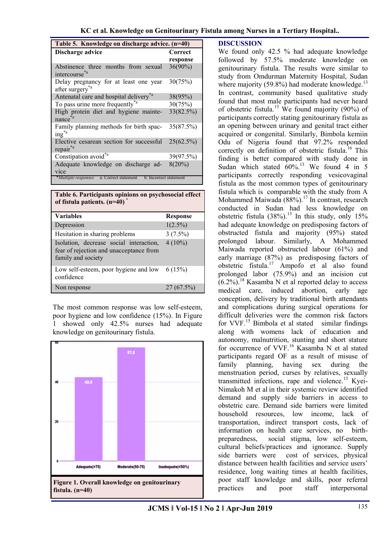|  |  |  | KC et al. Knowledge on Genitourinary Fistula among Nurses in a Tertiary Hospital |
|--|--|--|----------------------------------------------------------------------------------|
|--|--|--|----------------------------------------------------------------------------------|

| Table 5. Knowledge on discharge advice. (n=40)                        |            |  |
|-----------------------------------------------------------------------|------------|--|
| Discharge advice                                                      | Correct    |  |
|                                                                       | response   |  |
| Abstinence three months from sexual<br>intercourse* <sup>a</sup>      | $36(90\%)$ |  |
| Delay pregnancy for at least one year<br>after surgery <sup>*a</sup>  | 30(75%)    |  |
| Antenatal care and hospital delivery <sup>*a</sup>                    | 38(95%)    |  |
| To pass urine more frequently <sup>*a</sup>                           | 30(75%)    |  |
| High protein diet and hygiene mainte-<br>nance <sup>*a</sup>          | 33(82.5%)  |  |
| Family planning methods for birth spac-<br>$ing^*$                    | 35(87.5%)  |  |
| Elective cesarean section for successful<br>repair                    | 25(62.5%)  |  |
| Constipation avoid <sup>*a</sup>                                      | 39(97.5%)  |  |
| Adequate knowledge on discharge ad-<br>vice                           | $8(20\%)$  |  |
| *Multiple responses<br>a: Correct statement<br>b: Incorrect statement |            |  |

| Table 6. Participants opinions on psychosocial effect<br>of fistula patients. (n=40)                     |                 |  |
|----------------------------------------------------------------------------------------------------------|-----------------|--|
| <b>Variables</b>                                                                                         | <b>Response</b> |  |
| Depression                                                                                               | $1(2.5\%)$      |  |
| Hesitation in sharing problems                                                                           | $3(7.5\%)$      |  |
| Isolation, decrease social interaction,<br>fear of rejection and unacceptance from<br>family and society | $4(10\%)$       |  |
| Low self-esteem, poor hygiene and low<br>confidence                                                      | 6(15%)          |  |
| Non response                                                                                             | $27(67.5\%)$    |  |

The most common response was low self-esteem, poor hygiene and low confidence (15%). In Figure 1 showed only 42.5% nurses had adequate knowledge on genitourinary fistula.



#### **DISCUSSION**

We found only 42.5 % had adequate knowledge followed by 57.5% moderate knowledge on genitourinary fistula. The results were similar to study from Omdurman Maternity Hospital, Sudan where majority (59.8%) had moderate knowledge. $^{13}$  $^{13}$  $^{13}$ In contrast, community based qualitative study found that most male participants had never heard of obstetric fistula.<sup>[15](https://paperpile.com/c/Vo2g7a/rBZo)</sup> We found majority (90%) of participants correctly stating genitourinary fistula as an opening between urinary and genital tract either acquired or congenital. Similarly, Bimbola kemiin Odu of Nigeria found that 97.2% responded correctly on definition of obstetric fistula.<sup>[16](https://paperpile.com/c/Vo2g7a/1V7i)</sup> This finding is better compared with study done in Sudan which stated  $60\%$ .<sup>[13](https://paperpile.com/c/Vo2g7a/Pgk3)</sup> We found 4 in 5 participants correctly responding vesicovaginal fistula as the most common types of genitourinary fistula which is comparable with the study from A Mohammed Maiwada  $(88\%)$ .<sup>[17](https://paperpile.com/c/Vo2g7a/127m)</sup> In contrast, research conducted in Sudan had less knowledge on obstetric fistula  $(38\%)$ .<sup>[13](https://paperpile.com/c/Vo2g7a/Pgk3)</sup> In this study, only 15% had adequate knowledge on predisposing factors of obstructed fistula and majority (95%) stated prolonged labour. Similarly, A Mohammed Maiwada reported obstructed labour (61%) and early marriage (87%) as predisposing factors of obstetric fistula.[17](https://paperpile.com/c/Vo2g7a/127m) Ampofo et al also found prolonged labor (75.9%) and an incision cut  $(6.2\%)$ <sup>[18](https://paperpile.com/c/Vo2g7a/4Jjd)</sup> Kasamba N et al reported delay to access medical care, induced abortion, early age conception, delivery by traditional birth attendants and complications during surgical operations for difficult deliveries were the common risk factors for VVF.[15](https://paperpile.com/c/Vo2g7a/rBZo) Bimbola et al stated similar findings along with womens lack of education and autonomy, malnutrition, stunting and short stature for occurrence of VVF.<sup>[16](https://paperpile.com/c/Vo2g7a/1V7i)</sup> Kasamba N et al stated participants regard OF as a result of misuse of family planning, having sex during the menstruation period, curses by relatives, sexually transmitted infections, rape and violence.<sup>[15](https://paperpile.com/c/Vo2g7a/rBZo)</sup> Kyei-Nimakoh M et al in their systemic review identified demand and supply side barriers in access to obstetric care. Demand side barriers were limited household resources, low income, lack of transportation, indirect transport costs, lack of information on health care services, no birthpreparedness, social stigma, low self-esteem, cultural beliefs/practices and ignorance. Supply side barriers were cost of services, physical distance between health facilities and service users' residence, long waiting times at health facilities, poor staff knowledge and skills, poor referral practices and poor staff interpersonal

**JCMS ǁ Vol-15 ǁ No 2 ǁ Apr-Jun 2019**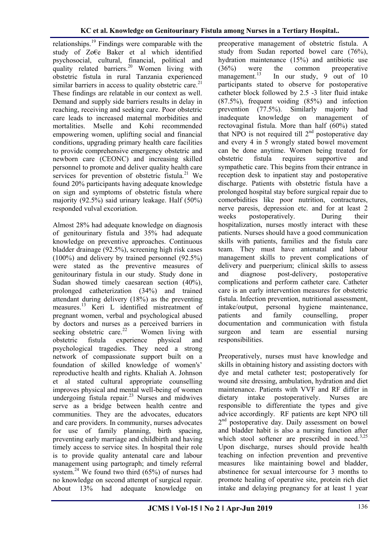relationships.<sup>[19](https://paperpile.com/c/Vo2g7a/DOP2)</sup> Findings were comparable with the study of Zo€e Baker et al which identified psychosocial, cultural, financial, political and quality related barriers.<sup>[20](https://paperpile.com/c/Vo2g7a/Iwus)</sup> Women living with obstetric fistula in rural Tanzania experienced similar barriers in access to quality obstetric care. $21$ These findings are relatable in our context as well. Demand and supply side barriers results in delay in reaching, receiving and seeking care. Poor obstetric care leads to increased maternal morbidities and mortalities. Mselle and Kohi recommended empowering women, uplifting social and financial conditions, upgrading primary health care facilities to provide comprehensive emergency obstetric and newborn care (CEONC) and increasing skilled personnel to promote and deliver quality health care services for prevention of obstetric fistula.<sup>[21](https://paperpile.com/c/Vo2g7a/VkZa)</sup> We found 20% participants having adequate knowledge on sign and symptoms of obstetric fistula where majority (92.5%) said urinary leakage. Half (50%) responded vulval excoriation.

Almost 28% had adequate knowledge on diagnosis of genitourinary fistula and 35% had adequate knowledge on preventive approaches. Continuous bladder drainage (92.5%), screening high risk cases (100%) and delivery by trained personnel (92.5%) were stated as the preventive measures of genitourinary fistula in our study. Study done in Sudan showed timely caesarean section (40%), prolonged catheterization (34%) and trained attendant during delivery (18%) as the preventing measures.[13](https://paperpile.com/c/Vo2g7a/Pgk3) Keri L identified mistreatment of pregnant women, verbal and psychological abused by doctors and nurses as a perceived barriers in seeking obstetric care. $22$ Womenliving with<br>nce physical and obstetric fistula experience physical and psychological tragedies. They need a strong network of compassionate support built on a foundation of skilled knowledge of women's' reproductive health and rights. [Khaliah A. Johnson](https://www.ncbi.nlm.nih.gov/pubmed/?term=Johnson%20KA%5BAuthor%5D&cauthor=true&cauthor_uid=20034756) et al stated cultural appropriate counselling improves physical and mental well-being of women undergoing fistula repair.<sup>[23](https://paperpile.com/c/Vo2g7a/4iDC)</sup> Nurses and midwives serve as a bridge between health centre and communities. They are the advocates, educators and care providers. In community, nurses advocates for use of family planning, birth spacing, preventing early marriage and childbirth and having timely access to service sites. In hospital their role is to provide quality antenatal care and labour management using partograph; and timely referral system.<sup>[24](https://paperpile.com/c/Vo2g7a/kclQ)</sup> We found two third  $(65%)$  of nurses had no knowledge on second attempt of surgical repair. About 13% had adequate knowledge on preoperative management of obstetric fistula. A study from Sudan reported bowel care (76%), hydration maintenance (15%) and antibiotic use (36%) were the common preoperative management.<sup>13</sup> In our study, 9 out of 10 participants stated to observe for postoperative catheter block followed by 2.5 -3 liter fluid intake (87.5%), frequent voiding (85%) and infection prevention (77.5%). Similarly majority had<br>inadequate knowledge on management of inadequate knowledge on management of rectovaginal fistula. More than half (60%) stated that NPO is not required till  $2<sup>nd</sup>$  postoperative day and every 4 in 5 wrongly stated bowel movement can be done anytime. Women being treated for obstetric fistula requires supportive and sympathetic care. This begins from their entrance in reception desk to inpatient stay and postoperative discharge. Patients with obstetric fistula have a prolonged hospital stay before surgical repair due to comorbidities like poor nutrition, contractures, nerve paresis, depression etc. and for at least 2 weeks postoperatively. During their hospitalization, nurses mostly interact with these patients. Nurses should have a good communication skills with patients, families and the fistula care team. They must have antenatal and labour management skills to prevent complications of delivery and puerperium; clinical skills to assess and diagnose post-delivery, postoperative complications and perform catheter care. Catheter care is an early intervention measures for obstetric fistula. Infection prevention, nutritional assessment, intake/output, personal hygiene maintenance, patients and family counselling, proper documentation and communication with fistula<br>surgeon and team are essential nursing surgeon and team are essential nursing responsibilities.

Preoperatively, nurses must have knowledge and skills in obtaining history and assisting doctors with dye and metal catheter test; postoperatively for wound site dressing, ambulation, hydration and diet maintenance. Patients with VVF and RF differ in dietary intake postoperatively. Nurses are responsible to differentiate the types and give advice accordingly. RF patients are kept NPO till 2<sup>nd</sup> postoperative day. Daily assessment on bowel and bladder habit is also a nursing function after which stool softener are prescribed in need.<sup>[3,](https://paperpile.com/c/Vo2g7a/BrEF)[25](https://paperpile.com/c/Vo2g7a/FhNx)</sup> Upon discharge, nurses should provide health teaching on infection prevention and preventive measures like maintaining bowel and bladder, abstinence for sexual intercourse for 3 months to promote healing of operative site, protein rich diet intake and delaying pregnancy for at least 1 year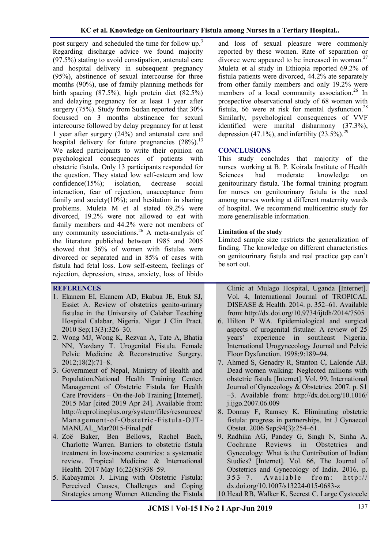post surgery and scheduled the time for follow up.<sup>[3](https://paperpile.com/c/Vo2g7a/BrEF)</sup> Regarding discharge advice we found majority (97.5%) stating to avoid constipation, antenatal care and hospital delivery in subsequent pregnancy (95%), abstinence of sexual intercourse for three months (90%), use of family planning methods for birth spacing (87.5%), high protein diet (82.5%) and delaying pregnancy for at least 1 year after surgery (75%). Study from Sudan reported that 30% focussed on 3 months abstinence for sexual intercourse followed by delay pregnancy for at least 1 year after surgery (24%) and antenatal care and hospital delivery for future pregnancies  $(28\%)$ .<sup>[13](https://paperpile.com/c/Vo2g7a/Pgk3)</sup> We asked participants to write their opinion on psychological consequences of patients with obstetric fistula. Only 13 participants responded for the question. They stated low self-esteem and low confidence(15%); isolation, decrease social interaction, fear of rejection, unacceptance from family and society $(10\%)$ ; and hesitation in sharing problems. [Muleta M](https://www.ncbi.nlm.nih.gov/pubmed/?term=Muleta%20M%5BAuthor%5D&cauthor=true&cauthor_uid=18198067) et al stated 69.2% were divorced, 19.2% were not allowed to eat with family members and 44.2% were not members of any community associations.<sup>[26](https://paperpile.com/c/Vo2g7a/ravG)</sup> A meta-analysis of the literature published between 1985 and 2005 showed that 36% of women with fistulas were divorced or separated and in 85% of cases with fistula had fetal loss. Low self-esteem, feelings of rejection, depression, stress, anxiety, loss of libido

## **REFERENCES**

- 1. [Ekanem EI, Ekanem AD, Ekabua JE, Etuk SJ,](http://paperpile.com/b/Vo2g7a/u190)  [Essiet A. Review of obstetrics genito-urinary](http://paperpile.com/b/Vo2g7a/u190)  [fistulae in the University of Calabar Teaching](http://paperpile.com/b/Vo2g7a/u190)  [Hospital Calabar, Nigeria. Niger J Clin Pract.](http://paperpile.com/b/Vo2g7a/u190)  [2010 Sep;13\(3\):326](http://paperpile.com/b/Vo2g7a/u190)–30.
- 2. [Wong MJ, Wong K, Rezvan A, Tate A, Bhatia](http://paperpile.com/b/Vo2g7a/UihE)  [NN, Yazdany T. Urogenital Fistula. Female](http://paperpile.com/b/Vo2g7a/UihE)  [Pelvic Medicine & Reconstructive Surgery.](http://paperpile.com/b/Vo2g7a/UihE)  [2012;18\(2\):71](http://paperpile.com/b/Vo2g7a/UihE)–8.
- 3. [Government of Nepal, Ministry of Health and](http://paperpile.com/b/Vo2g7a/BrEF)  [Population,National Health Training Center.](http://paperpile.com/b/Vo2g7a/BrEF)  [Management of Obstetric Fistula for Health](http://paperpile.com/b/Vo2g7a/BrEF)  Care Providers – [On-the-Job Training \[Internet\].](http://paperpile.com/b/Vo2g7a/BrEF)  [2015 Mar \[cited 2019 Apr 24\]. Available from:](http://paperpile.com/b/Vo2g7a/BrEF)  [http://reprolineplus.org/system/files/resources/](http://reprolineplus.org/system/files/resources/Management-of-Obstetric-Fistula-OJT-MANUAL_Mar2015-Final.pdf) [Management-of-Obstetric](http://reprolineplus.org/system/files/resources/Management-of-Obstetric-Fistula-OJT-MANUAL_Mar2015-Final.pdf) -Fistula -OJT-MANUAL Mar2015-Final.pdf
- 4. [Zoë Baker, Ben Bellows, Rachel Bach,](http://paperpile.com/b/Vo2g7a/00Cf)  [Charlotte Warren. Barriers to obstetric fistula](http://paperpile.com/b/Vo2g7a/00Cf)  treatment in low‐[income countries: a systematic](http://paperpile.com/b/Vo2g7a/00Cf)  [review. Tropical Medicine & International](http://paperpile.com/b/Vo2g7a/00Cf)  [Health. 2017 May 16;22\(8\):938](http://paperpile.com/b/Vo2g7a/00Cf)–59.
- 5. [Kabayambi J. Living with Obstetric Fistula:](http://paperpile.com/b/Vo2g7a/vzuY)  [Perceived Causes, Challenges and Coping](http://paperpile.com/b/Vo2g7a/vzuY)  [Strategies among Women Attending the Fistula](http://paperpile.com/b/Vo2g7a/vzuY)

and loss of sexual pleasure were commonly reported by these women. Rate of separation or divorce were appeared to be increased in woman. $27$ Muleta et al study in Ethiopia reported 69.2% of fistula patients were divorced, 44.2% ate separately from other family members and only 19.2% were members of a local community association.<sup>[26](https://paperpile.com/c/Vo2g7a/ravG)</sup> In prospective observational study of 68 women with fistula, 66 were at risk for mental dysfunction.<sup>[28](https://paperpile.com/c/Vo2g7a/6e32)</sup> Similarly, psychological consequences of VVF identified were marital disharmony (37.3%), depression (47.1%), and infertility (23.5%).<sup>[29](https://paperpile.com/c/Vo2g7a/TBjG)</sup>

#### **CONCLUSIONS**

This study concludes that majority of the nurses working at B. P. Koirala Institute of Health Sciences had moderate knowledge on genitourinary fistula. The formal training program for nurses on genitourinary fistula is the need among nurses working at different maternity wards of hospital. We recommend multicentric study for more generalisable information.

### **Limitation of the study**

Limited sample size restricts the generalization of finding. The knowledge on different characteristics on genitourinary fistula and real practice gap can't be sort out.

[Clinic at Mulago Hospital, Uganda \[Internet\].](http://paperpile.com/b/Vo2g7a/vzuY)  [Vol. 4, International Journal of TROPICAL](http://paperpile.com/b/Vo2g7a/vzuY)  [DISEASE & Health. 2014. p. 352](http://paperpile.com/b/Vo2g7a/vzuY)–61. Available [from:](http://paperpile.com/b/Vo2g7a/vzuY) <http://dx.doi.org/10.9734/ijtdh/2014/7505>

- 6. [Hilton P WA. Epidemiological and surgical](http://paperpile.com/b/Vo2g7a/lXV5)  [aspects of urogenital fistulae: A review of 25](http://paperpile.com/b/Vo2g7a/lXV5)  [years' experience in southeast Nigeria.](http://paperpile.com/b/Vo2g7a/lXV5)  [International Urogynecology Journal and Pelvic](http://paperpile.com/b/Vo2g7a/lXV5)  [Floor Dysfunction. 1998;9:189](http://paperpile.com/b/Vo2g7a/lXV5)–94.
- 7. [Ahmed S, Genadry R, Stanton C, Lalonde AB.](http://paperpile.com/b/Vo2g7a/W7SO)  [Dead women walking: Neglected millions with](http://paperpile.com/b/Vo2g7a/W7SO)  [obstetric fistula \[Internet\]. Vol. 99, International](http://paperpile.com/b/Vo2g7a/W7SO)  [Journal of Gynecology & Obstetrics. 2007. p. S1](http://paperpile.com/b/Vo2g7a/W7SO) –[3. Available from: h](http://paperpile.com/b/Vo2g7a/W7SO)[ttp://dx.doi.org/10.1016/](http://dx.doi.org/10.1016/j.ijgo.2007.06.009) [j.ijgo.2007.06.009](http://dx.doi.org/10.1016/j.ijgo.2007.06.009)
- 8. [Donnay F, Ramsey K. Eliminating obstetric](http://paperpile.com/b/Vo2g7a/X0OK)  [fistula: progress in partnerships. Int J Gynaecol](http://paperpile.com/b/Vo2g7a/X0OK)  [Obstet. 2006 Sep;94\(3\):254](http://paperpile.com/b/Vo2g7a/X0OK)–61.
- 9. [Radhika AG, Pandey G, Singh N, Sinha A.](http://paperpile.com/b/Vo2g7a/Qjct)  [Cochrane Reviews in Obstetrics and](http://paperpile.com/b/Vo2g7a/Qjct)  [Gynecology: What is the Contribution of Indian](http://paperpile.com/b/Vo2g7a/Qjct)  [Studies? \[Internet\]. Vol. 66, The Journal of](http://paperpile.com/b/Vo2g7a/Qjct)  [Obstetrics and Gynecology of India. 2016. p.](http://paperpile.com/b/Vo2g7a/Qjct)   $353 - 7$ . Available from: http:// [dx.doi.org/10.1007/s13224-015-0683-z](http://dx.doi.org/10.1007/s13224-015-0683-z)
- 10.[Head RB, Walker K, Secrest C. Large Cystocele](http://paperpile.com/b/Vo2g7a/PQyS)